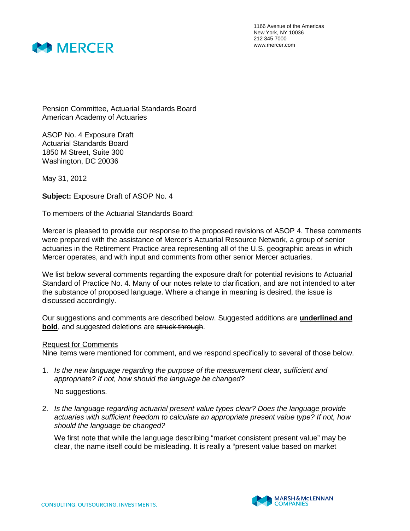

1166 Avenue of the Americas New York, NY 10036 212 345 7000 www.mercer.com

Pension Committee, Actuarial Standards Board American Academy of Actuaries

ASOP No. 4 Exposure Draft Actuarial Standards Board 1850 M Street, Suite 300 Washington, DC 20036

May 31, 2012

**Subject:** Exposure Draft of ASOP No. 4

To members of the Actuarial Standards Board:

Mercer is pleased to provide our response to the proposed revisions of ASOP 4. These comments were prepared with the assistance of Mercer's Actuarial Resource Network, a group of senior actuaries in the Retirement Practice area representing all of the U.S. geographic areas in which Mercer operates, and with input and comments from other senior Mercer actuaries.

We list below several comments regarding the exposure draft for potential revisions to Actuarial Standard of Practice No. 4. Many of our notes relate to clarification, and are not intended to alter the substance of proposed language. Where a change in meaning is desired, the issue is discussed accordingly.

Our suggestions and comments are described below. Suggested additions are **underlined and bold**, and suggested deletions are struck through.

## Request for Comments

Nine items were mentioned for comment, and we respond specifically to several of those below.

1. Is the new language regarding the purpose of the measurement clear, sufficient and appropriate? If not, how should the language be changed?

No suggestions.

2. Is the language regarding actuarial present value types clear? Does the language provide actuaries with sufficient freedom to calculate an appropriate present value type? If not, how should the language be changed?

We first note that while the language describing "market consistent present value" may be clear, the name itself could be misleading. It is really a "present value based on market

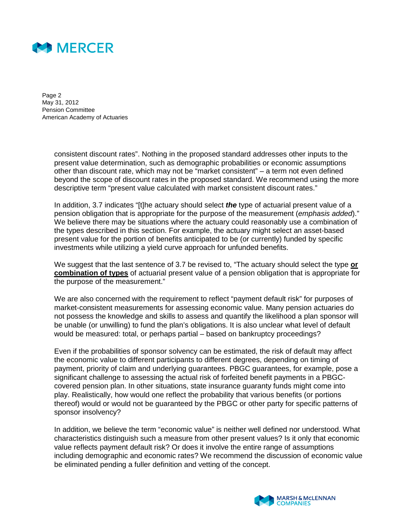

Page 2 May 31, 2012 Pension Committee American Academy of Actuaries

> consistent discount rates". Nothing in the proposed standard addresses other inputs to the present value determination, such as demographic probabilities or economic assumptions other than discount rate, which may not be "market consistent" – a term not even defined beyond the scope of discount rates in the proposed standard. We recommend using the more descriptive term "present value calculated with market consistent discount rates."

> In addition, 3.7 indicates "[t]he actuary should select **the** type of actuarial present value of a pension obligation that is appropriate for the purpose of the measurement (emphasis added)." We believe there may be situations where the actuary could reasonably use a combination of the types described in this section. For example, the actuary might select an asset-based present value for the portion of benefits anticipated to be (or currently) funded by specific investments while utilizing a yield curve approach for unfunded benefits.

> We suggest that the last sentence of 3.7 be revised to, "The actuary should select the type **or combination of types** of actuarial present value of a pension obligation that is appropriate for the purpose of the measurement."

> We are also concerned with the requirement to reflect "payment default risk" for purposes of market-consistent measurements for assessing economic value. Many pension actuaries do not possess the knowledge and skills to assess and quantify the likelihood a plan sponsor will be unable (or unwilling) to fund the plan's obligations. It is also unclear what level of default would be measured: total, or perhaps partial – based on bankruptcy proceedings?

> Even if the probabilities of sponsor solvency can be estimated, the risk of default may affect the economic value to different participants to different degrees, depending on timing of payment, priority of claim and underlying guarantees. PBGC guarantees, for example, pose a significant challenge to assessing the actual risk of forfeited benefit payments in a PBGCcovered pension plan. In other situations, state insurance guaranty funds might come into play. Realistically, how would one reflect the probability that various benefits (or portions thereof) would or would not be guaranteed by the PBGC or other party for specific patterns of sponsor insolvency?

In addition, we believe the term "economic value" is neither well defined nor understood. What characteristics distinguish such a measure from other present values? Is it only that economic value reflects payment default risk? Or does it involve the entire range of assumptions including demographic and economic rates? We recommend the discussion of economic value be eliminated pending a fuller definition and vetting of the concept.

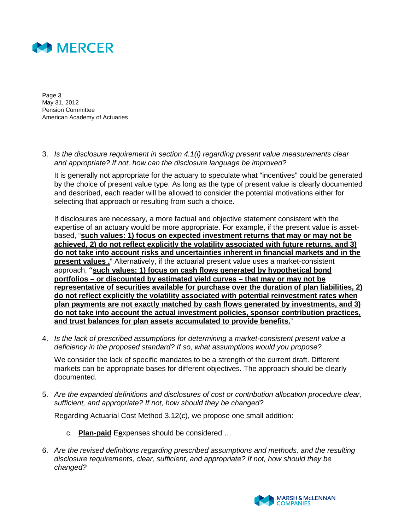

Page 3 May 31, 2012 Pension Committee American Academy of Actuaries

3. Is the disclosure requirement in section 4.1(i) regarding present value measurements clear and appropriate? If not, how can the disclosure language be improved?

It is generally not appropriate for the actuary to speculate what "incentives" could be generated by the choice of present value type. As long as the type of present value is clearly documented and described, each reader will be allowed to consider the potential motivations either for selecting that approach or resulting from such a choice.

If disclosures are necessary, a more factual and objective statement consistent with the expertise of an actuary would be more appropriate. For example, if the present value is assetbased, "**such values: 1) focus on expected investment returns that may or may not be achieved, 2) do not reflect explicitly the volatility associated with future returns, and 3) do not take into account risks and uncertainties inherent in financial markets and in the present values .**" Alternatively, if the actuarial present value uses a market-consistent approach, "**such values: 1) focus on cash flows generated by hypothetical bond portfolios – or discounted by estimated yield curves – that may or may not be representative of securities available for purchase over the duration of plan liabilities, 2) do not reflect explicitly the volatility associated with potential reinvestment rates when plan payments are not exactly matched by cash flows generated by investments, and 3) do not take into account the actual investment policies, sponsor contribution practices, and trust balances for plan assets accumulated to provide benefits.**"

4. Is the lack of prescribed assumptions for determining a market-consistent present value a deficiency in the proposed standard? If so, what assumptions would you propose?

We consider the lack of specific mandates to be a strength of the current draft. Different markets can be appropriate bases for different objectives. The approach should be clearly documented.

5. Are the expanded definitions and disclosures of cost or contribution allocation procedure clear, sufficient, and appropriate? If not, how should they be changed?

Regarding Actuarial Cost Method 3.12(c), we propose one small addition:

- c. **Plan-paid** E**e**xpenses should be considered …
- 6. Are the revised definitions regarding prescribed assumptions and methods, and the resulting disclosure requirements, clear, sufficient, and appropriate? If not, how should they be changed?

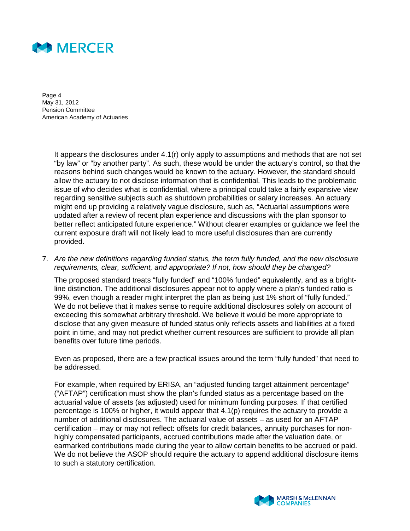

Page 4 May 31, 2012 Pension Committee American Academy of Actuaries

> It appears the disclosures under 4.1(r) only apply to assumptions and methods that are not set "by law" or "by another party". As such, these would be under the actuary's control, so that the reasons behind such changes would be known to the actuary. However, the standard should allow the actuary to not disclose information that is confidential. This leads to the problematic issue of who decides what is confidential, where a principal could take a fairly expansive view regarding sensitive subjects such as shutdown probabilities or salary increases. An actuary might end up providing a relatively vague disclosure, such as, "Actuarial assumptions were updated after a review of recent plan experience and discussions with the plan sponsor to better reflect anticipated future experience." Without clearer examples or guidance we feel the current exposure draft will not likely lead to more useful disclosures than are currently provided.

7. Are the new definitions regarding funded status, the term fully funded, and the new disclosure requirements, clear, sufficient, and appropriate? If not, how should they be changed?

The proposed standard treats "fully funded" and "100% funded" equivalently, and as a brightline distinction. The additional disclosures appear not to apply where a plan's funded ratio is 99%, even though a reader might interpret the plan as being just 1% short of "fully funded." We do not believe that it makes sense to require additional disclosures solely on account of exceeding this somewhat arbitrary threshold. We believe it would be more appropriate to disclose that any given measure of funded status only reflects assets and liabilities at a fixed point in time, and may not predict whether current resources are sufficient to provide all plan benefits over future time periods.

Even as proposed, there are a few practical issues around the term "fully funded" that need to be addressed.

For example, when required by ERISA, an "adjusted funding target attainment percentage" ("AFTAP") certification must show the plan's funded status as a percentage based on the actuarial value of assets (as adjusted) used for minimum funding purposes. If that certified percentage is 100% or higher, it would appear that 4.1(p) requires the actuary to provide a number of additional disclosures. The actuarial value of assets – as used for an AFTAP certification – may or may not reflect: offsets for credit balances, annuity purchases for nonhighly compensated participants, accrued contributions made after the valuation date, or earmarked contributions made during the year to allow certain benefits to be accrued or paid. We do not believe the ASOP should require the actuary to append additional disclosure items to such a statutory certification.

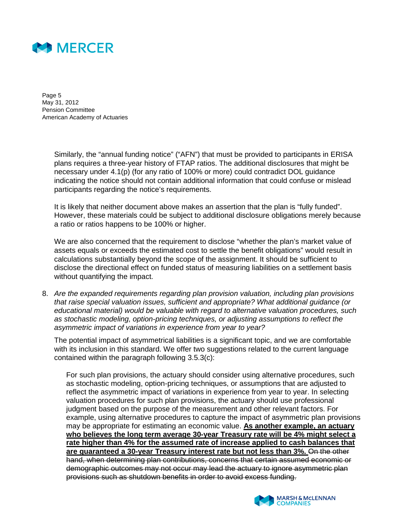

Page 5 May 31, 2012 Pension Committee American Academy of Actuaries

> Similarly, the "annual funding notice" ("AFN") that must be provided to participants in ERISA plans requires a three-year history of FTAP ratios. The additional disclosures that might be necessary under 4.1(p) (for any ratio of 100% or more) could contradict DOL guidance indicating the notice should not contain additional information that could confuse or mislead participants regarding the notice's requirements.

It is likely that neither document above makes an assertion that the plan is "fully funded". However, these materials could be subject to additional disclosure obligations merely because a ratio or ratios happens to be 100% or higher.

We are also concerned that the requirement to disclose "whether the plan's market value of assets equals or exceeds the estimated cost to settle the benefit obligations" would result in calculations substantially beyond the scope of the assignment. It should be sufficient to disclose the directional effect on funded status of measuring liabilities on a settlement basis without quantifying the impact.

8. Are the expanded requirements regarding plan provision valuation, including plan provisions that raise special valuation issues, sufficient and appropriate? What additional guidance (or educational material) would be valuable with regard to alternative valuation procedures, such as stochastic modeling, option-pricing techniques, or adjusting assumptions to reflect the asymmetric impact of variations in experience from year to year?

The potential impact of asymmetrical liabilities is a significant topic, and we are comfortable with its inclusion in this standard. We offer two suggestions related to the current language contained within the paragraph following 3.5.3(c):

For such plan provisions, the actuary should consider using alternative procedures, such as stochastic modeling, option-pricing techniques, or assumptions that are adjusted to reflect the asymmetric impact of variations in experience from year to year. In selecting valuation procedures for such plan provisions, the actuary should use professional judgment based on the purpose of the measurement and other relevant factors. For example, using alternative procedures to capture the impact of asymmetric plan provisions may be appropriate for estimating an economic value. **As another example, an actuary who believes the long term average 30-year Treasury rate will be 4% might select a rate higher than 4% for the assumed rate of increase applied to cash balances that are guaranteed a 30-year Treasury interest rate but not less than 3%.** On the other hand, when determining plan contributions, concerns that certain assumed economic or demographic outcomes may not occur may lead the actuary to ignore asymmetric plan provisions such as shutdown benefits in order to avoid excess funding.

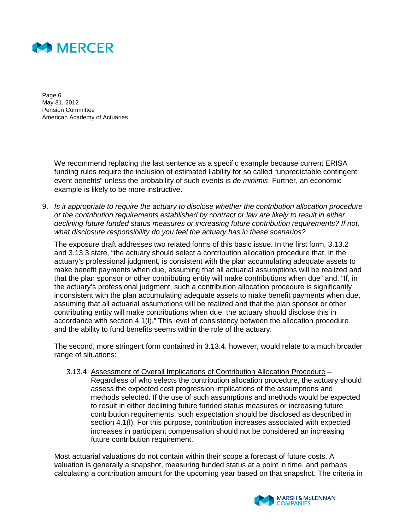

Page 6 May 31, 2012 Pension Committee American Academy of Actuaries

> We recommend replacing the last sentence as a specific example because current ERISA funding rules require the inclusion of estimated liability for so called "unpredictable contingent event benefits" unless the probability of such events is *de minimis*. Further, an economic example is likely to be more instructive.

9. Is it appropriate to require the actuary to disclose whether the contribution allocation procedure or the contribution requirements established by contract or law are likely to result in either declining future funded status measures or increasing future contribution requirements? If not, what disclosure responsibility do you feel the actuary has in these scenarios?

The exposure draft addresses two related forms of this basic issue. In the first form, 3.13.2 and 3.13.3 state, "the actuary should select a contribution allocation procedure that, in the actuary's professional judgment, is consistent with the plan accumulating adequate assets to make benefit payments when due, assuming that all actuarial assumptions will be realized and that the plan sponsor or other contributing entity will make contributions when due" and, "If, in the actuary's professional judgment, such a contribution allocation procedure is significantly inconsistent with the plan accumulating adequate assets to make benefit payments when due, assuming that all actuarial assumptions will be realized and that the plan sponsor or other contributing entity will make contributions when due, the actuary should disclose this in accordance with section 4.1(l)." This level of consistency between the allocation procedure and the ability to fund benefits seems within the role of the actuary.

The second, more stringent form contained in 3.13.4, however, would relate to a much broader range of situations:

3.13.4 Assessment of Overall Implications of Contribution Allocation Procedure – Regardless of who selects the contribution allocation procedure, the actuary should assess the expected cost progression implications of the assumptions and methods selected. If the use of such assumptions and methods would be expected to result in either declining future funded status measures or increasing future contribution requirements, such expectation should be disclosed as described in section 4.1(l). For this purpose, contribution increases associated with expected increases in participant compensation should not be considered an increasing future contribution requirement.

Most actuarial valuations do not contain within their scope a forecast of future costs. A valuation is generally a snapshot, measuring funded status at a point in time, and perhaps calculating a contribution amount for the upcoming year based on that snapshot. The criteria in

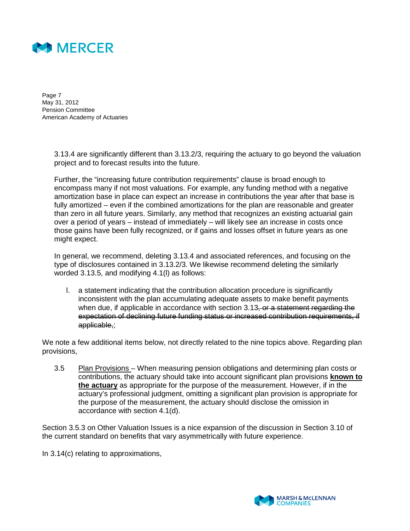

Page 7 May 31, 2012 Pension Committee American Academy of Actuaries

> 3.13.4 are significantly different than 3.13.2/3, requiring the actuary to go beyond the valuation project and to forecast results into the future.

Further, the "increasing future contribution requirements" clause is broad enough to encompass many if not most valuations. For example, any funding method with a negative amortization base in place can expect an increase in contributions the year after that base is fully amortized – even if the combined amortizations for the plan are reasonable and greater than zero in all future years. Similarly, any method that recognizes an existing actuarial gain over a period of years – instead of immediately – will likely see an increase in costs once those gains have been fully recognized, or if gains and losses offset in future years as one might expect.

In general, we recommend, deleting 3.13.4 and associated references, and focusing on the type of disclosures contained in 3.13.2/3. We likewise recommend deleting the similarly worded 3.13.5, and modifying 4.1(l) as follows:

l. a statement indicating that the contribution allocation procedure is significantly inconsistent with the plan accumulating adequate assets to make benefit payments when due, if applicable in accordance with section 3.13, or a statement regarding the expectation of declining future funding status or increased contribution requirements, if applicable,;

We note a few additional items below, not directly related to the nine topics above. Regarding plan provisions,

3.5 Plan Provisions – When measuring pension obligations and determining plan costs or contributions, the actuary should take into account significant plan provisions **known to the actuary** as appropriate for the purpose of the measurement. However, if in the actuary's professional judgment, omitting a significant plan provision is appropriate for the purpose of the measurement, the actuary should disclose the omission in accordance with section 4.1(d).

Section 3.5.3 on Other Valuation Issues is a nice expansion of the discussion in Section 3.10 of the current standard on benefits that vary asymmetrically with future experience.

In 3.14(c) relating to approximations,